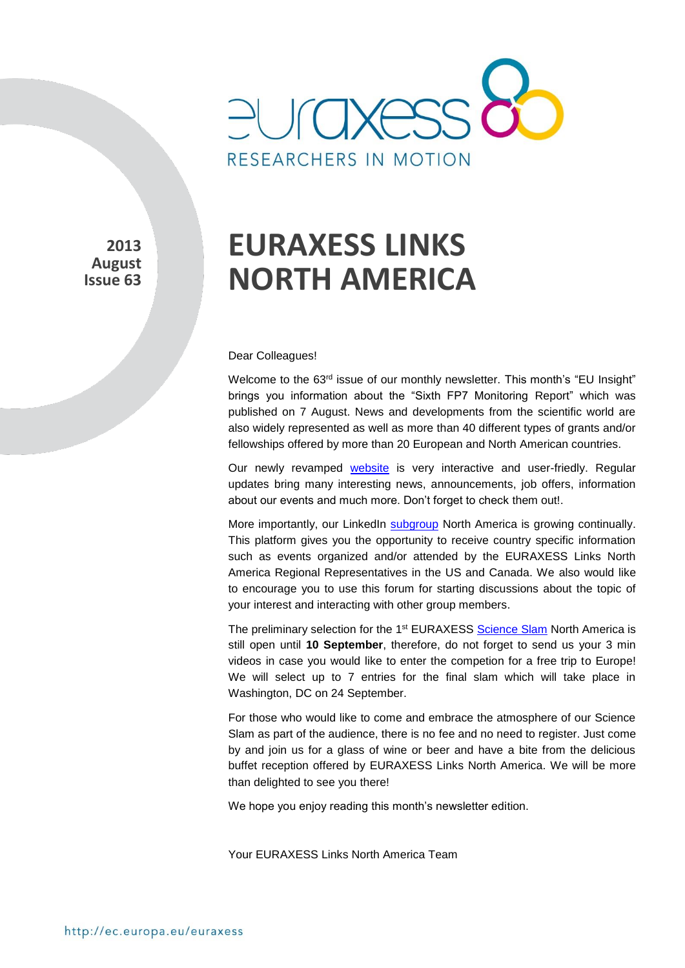

**2013 August Issue 63** 

# **EURAXESS LINKS NORTH AMERICA**

#### Dear Colleagues!

Welcome to the 63<sup>rd</sup> issue of our monthly newsletter. This month's "EU Insight" brings you information about the "Sixth FP7 Monitoring Report" which was published on 7 August. News and developments from the scientific world are also widely represented as well as more than 40 different types of grants and/or fellowships offered by more than 20 European and North American countries.

Our newly revamped [website](http://ec.europa.eu/euraxess/index.cfm/links/eurRes/north_america) is very interactive and user-friedly. Regular updates bring many interesting news, announcements, job offers, information about our events and much more. Don't forget to check them out!.

More importantly, our LinkedIn [subgroup](http://www.linkedin.com/groups?home=&gid=5024130&trk=anet_ug_hm) North America is growing continually. This platform gives you the opportunity to receive country specific information such as events organized and/or attended by the EURAXESS Links North America Regional Representatives in the US and Canada. We also would like to encourage you to use this forum for starting discussions about the topic of your interest and interacting with other group members.

The preliminary selection for the 1<sup>st</sup> EURAXESS [Science Slam](http://ec.europa.eu/euraxess/index.cfm/links/events/north_america/science_slam) North America is still open until **10 September**, therefore, do not forget to send us your 3 min videos in case you would like to enter the competion for a free trip to Europe! We will select up to 7 entries for the final slam which will take place in Washington, DC on 24 September.

For those who would like to come and embrace the atmosphere of our Science Slam as part of the audience, there is no fee and no need to register. Just come by and join us for a glass of wine or beer and have a bite from the delicious buffet reception offered by EURAXESS Links North America. We will be more than delighted to see you there!

We hope you enjoy reading this month's newsletter edition.

Your EURAXESS Links North America Team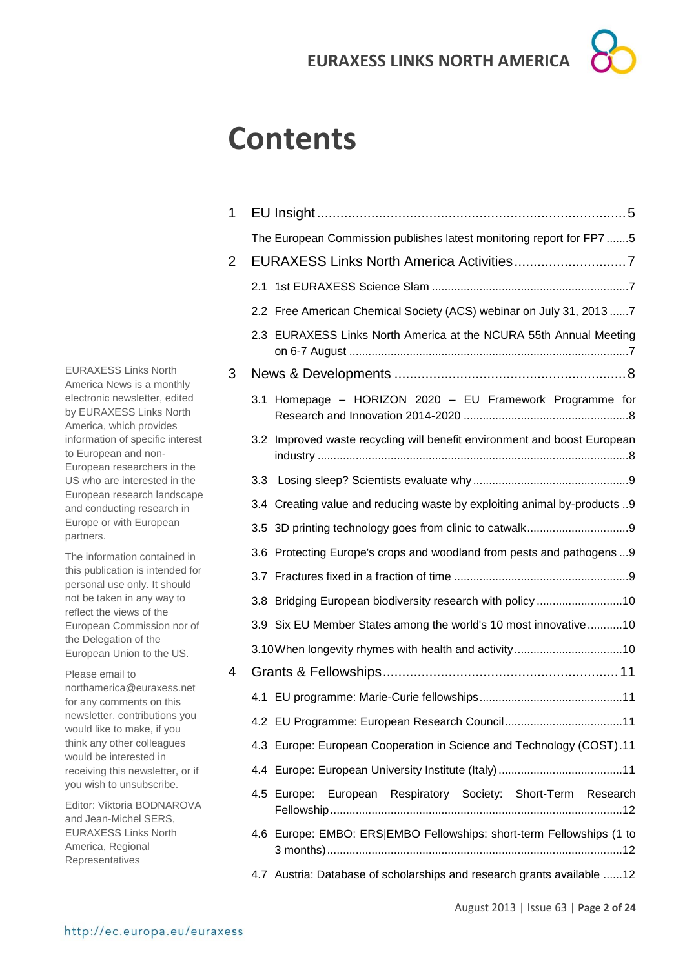# **Contents**

| 1              |                                                                          |
|----------------|--------------------------------------------------------------------------|
|                | The European Commission publishes latest monitoring report for FP7 5     |
| $\overline{2}$ |                                                                          |
|                | 2.1                                                                      |
|                | 2.2 Free American Chemical Society (ACS) webinar on July 31, 2013  7     |
|                | 2.3 EURAXESS Links North America at the NCURA 55th Annual Meeting        |
| 3              |                                                                          |
|                | 3.1 Homepage - HORIZON 2020 - EU Framework Programme for                 |
|                | 3.2 Improved waste recycling will benefit environment and boost European |
|                |                                                                          |
|                | 3.4 Creating value and reducing waste by exploiting animal by-products 9 |
|                |                                                                          |
|                | 3.6 Protecting Europe's crops and woodland from pests and pathogens  9   |
|                |                                                                          |
|                | 3.8 Bridging European biodiversity research with policy 10               |
|                | 3.9 Six EU Member States among the world's 10 most innovative 10         |
|                |                                                                          |
| 4              |                                                                          |
|                |                                                                          |
|                |                                                                          |
|                | 4.3 Europe: European Cooperation in Science and Technology (COST).11     |
|                |                                                                          |
|                | 4.5 Europe: European Respiratory Society: Short-Term Research            |
|                | 4.6 Europe: EMBO: ERS EMBO Fellowships: short-term Fellowships (1 to     |
|                | 4.7 Austria: Database of scholarships and research grants available 12   |

EURAXESS Links North America News is a monthly electronic newsletter, edited by EURAXESS Links North America, which provides information of specific interest to European and non-European researchers in the US who are interested in the European research landscape and conducting research in Europe or with European partners.

The information contained in this publication is intended for personal use only. It should not be taken in any way to reflect the views of the European Commission nor of the Delegation of the European Union to the US.

Please email to northamerica@euraxess.net for any comments on this newsletter, contributions you would like to make, if you think any other colleagues would be interested in receiving this newsletter, or if you wish to unsubscribe.

Editor: Viktoria BODNAROVA and Jean-Michel SERS, EURAXESS Links North America, Regional Representatives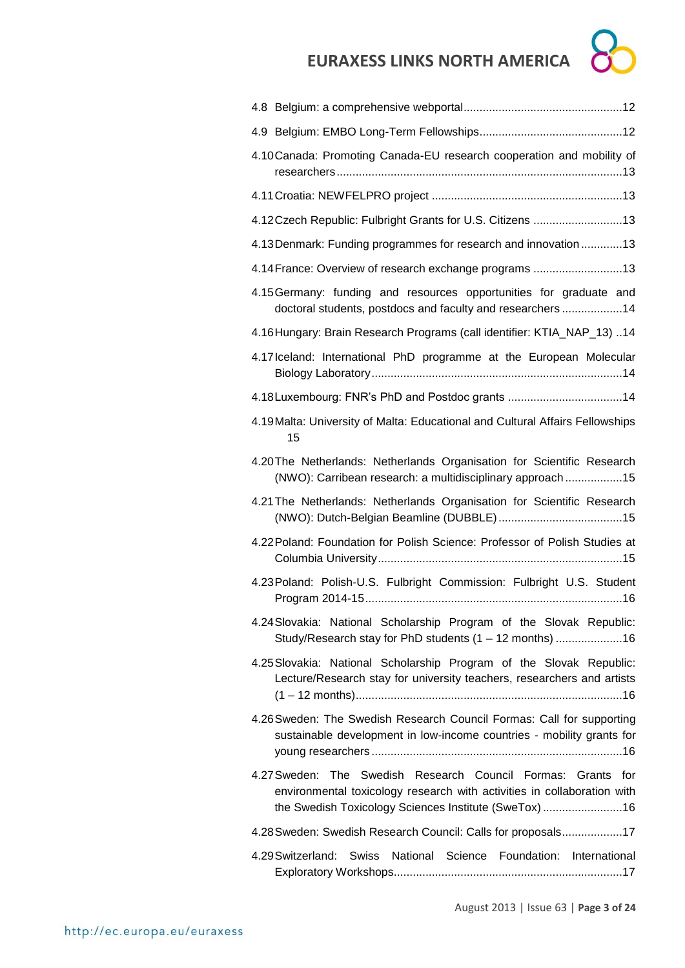| <b>EURAXESS LINKS NORTH AMERICA</b>                                                                                                            |
|------------------------------------------------------------------------------------------------------------------------------------------------|
|                                                                                                                                                |
|                                                                                                                                                |
| 4.10 Canada: Promoting Canada-EU research cooperation and mobility of                                                                          |
|                                                                                                                                                |
| 4.12Czech Republic: Fulbright Grants for U.S. Citizens 13                                                                                      |
| 4.13 Denmark: Funding programmes for research and innovation  13                                                                               |
| 4.14 France: Overview of research exchange programs 13                                                                                         |
| 4.15 Germany: funding and resources opportunities for graduate and<br>doctoral students, postdocs and faculty and researchers 14               |
| 4.16 Hungary: Brain Research Programs (call identifier: KTIA_NAP_13) 14                                                                        |
| 4.17 Iceland: International PhD programme at the European Molecular                                                                            |
|                                                                                                                                                |
| 4.19 Malta: University of Malta: Educational and Cultural Affairs Fellowships<br>15                                                            |
| 4.20 The Netherlands: Netherlands Organisation for Scientific Research<br>(NWO): Carribean research: a multidisciplinary approach 15           |
| 4.21 The Netherlands: Netherlands Organisation for Scientific Research                                                                         |
| 4.22 Poland: Foundation for Polish Science: Professor of Polish Studies at                                                                     |
| 4.23 Poland: Polish-U.S. Fulbright Commission: Fulbright U.S. Student                                                                          |
| 4.24 Slovakia: National Scholarship Program of the Slovak Republic:<br>Study/Research stay for PhD students (1 - 12 months) 16                 |
| 4.25 Slovakia: National Scholarship Program of the Slovak Republic:<br>Lecture/Research stay for university teachers, researchers and artists  |
| 4.26 Sweden: The Swedish Research Council Formas: Call for supporting<br>sustainable development in low-income countries - mobility grants for |

[4.27Sweden: The Swedish Research Council Formas: Grants for](#page-15-4)  [environmental toxicology research with activities in collaboration with](#page-15-4)  [the Swedish Toxicology Sciences Institute \(SweTox\)](#page-15-4) .........................16

[4.28Sweden: Swedish Research Council: Calls for proposals...................17](#page-16-0)

[4.29Switzerland: Swiss National Science Foundation: International](#page-16-1)  [Exploratory Workshops........................................................................17](#page-16-1)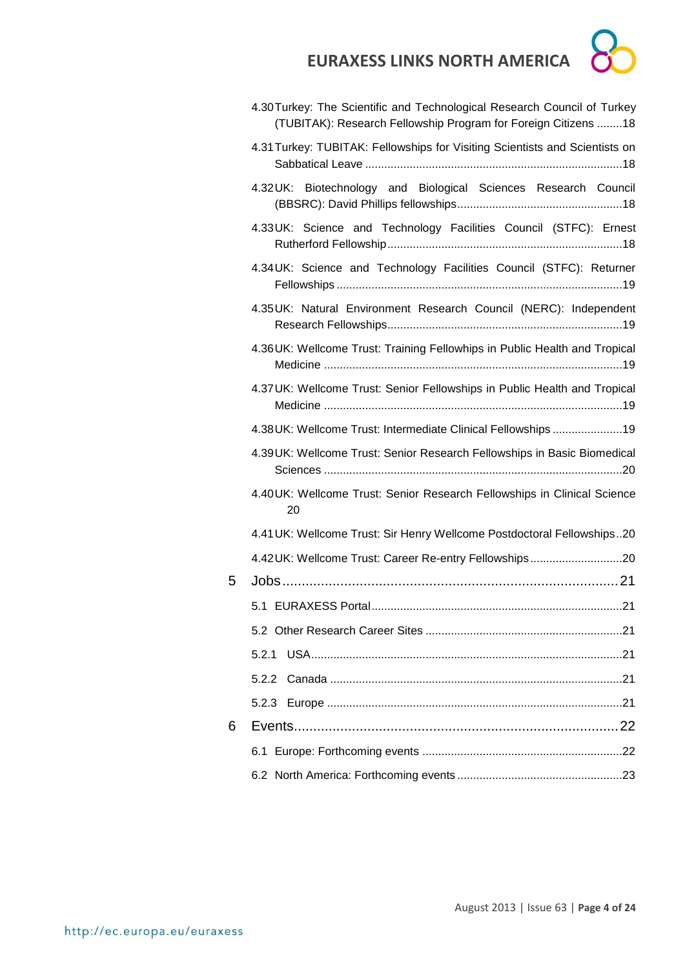

|   | 4.30 Turkey: The Scientific and Technological Research Council of Turkey<br>(TUBITAK): Research Fellowship Program for Foreign Citizens 18 |
|---|--------------------------------------------------------------------------------------------------------------------------------------------|
|   | 4.31 Turkey: TUBITAK: Fellowships for Visiting Scientists and Scientists on                                                                |
|   | 4.32UK: Biotechnology and Biological Sciences Research Council                                                                             |
|   | 4.33UK: Science and Technology Facilities Council (STFC): Ernest                                                                           |
|   | 4.34UK: Science and Technology Facilities Council (STFC): Returner                                                                         |
|   | 4.35UK: Natural Environment Research Council (NERC): Independent                                                                           |
|   | 4.36UK: Wellcome Trust: Training Fellowhips in Public Health and Tropical                                                                  |
|   | 4.37 UK: Wellcome Trust: Senior Fellowships in Public Health and Tropical                                                                  |
|   | 4.38 UK: Wellcome Trust: Intermediate Clinical Fellowships19                                                                               |
|   | 4.39UK: Wellcome Trust: Senior Research Fellowships in Basic Biomedical                                                                    |
|   | 4.40UK: Wellcome Trust: Senior Research Fellowships in Clinical Science<br>20                                                              |
|   | 4.41 UK: Wellcome Trust: Sir Henry Wellcome Postdoctoral Fellowships20                                                                     |
|   | 4.42 UK: Wellcome Trust: Career Re-entry Fellowships20                                                                                     |
| 5 |                                                                                                                                            |
|   |                                                                                                                                            |
|   |                                                                                                                                            |
|   | 5.2.1                                                                                                                                      |
|   |                                                                                                                                            |
|   |                                                                                                                                            |
| 6 |                                                                                                                                            |
|   |                                                                                                                                            |
|   |                                                                                                                                            |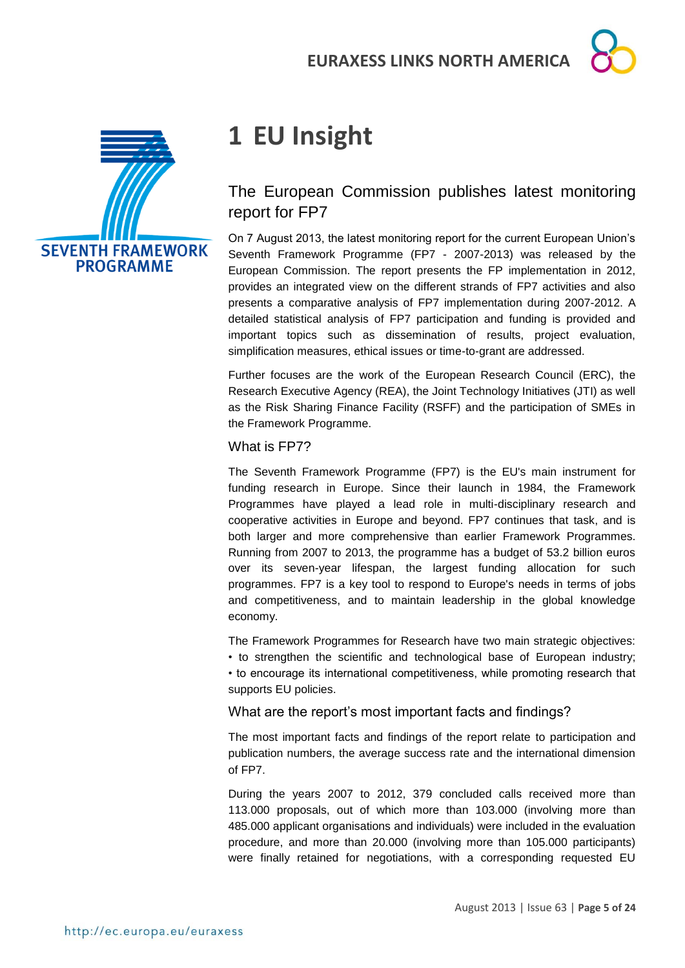



# <span id="page-4-0"></span>**1 EU Insight**

## <span id="page-4-1"></span>The European Commission publishes latest monitoring report for FP7

On 7 August 2013, the latest monitoring report for the current European Union's Seventh Framework Programme (FP7 - 2007-2013) was released by the European Commission. The report presents the FP implementation in 2012, provides an integrated view on the different strands of FP7 activities and also presents a comparative analysis of FP7 implementation during 2007-2012. A detailed statistical analysis of FP7 participation and funding is provided and important topics such as dissemination of results, project evaluation, simplification measures, ethical issues or time-to-grant are addressed.

Further focuses are the work of the European Research Council (ERC), the Research Executive Agency (REA), the Joint Technology Initiatives (JTI) as well as the Risk Sharing Finance Facility (RSFF) and the participation of SMEs in the Framework Programme.

#### What is FP7?

The Seventh Framework Programme (FP7) is the EU's main instrument for funding research in Europe. Since their launch in 1984, the Framework Programmes have played a lead role in multi-disciplinary research and cooperative activities in Europe and beyond. FP7 continues that task, and is both larger and more comprehensive than earlier Framework Programmes. Running from 2007 to 2013, the programme has a budget of 53.2 billion euros over its seven-year lifespan, the largest funding allocation for such programmes. FP7 is a key tool to respond to Europe's needs in terms of jobs and competitiveness, and to maintain leadership in the global knowledge economy.

The Framework Programmes for Research have two main strategic objectives:

• to strengthen the scientific and technological base of European industry; • to encourage its international competitiveness, while promoting research that supports EU policies.

What are the report's most important facts and findings?

The most important facts and findings of the report relate to participation and publication numbers, the average success rate and the international dimension of FP7.

During the years 2007 to 2012, 379 concluded calls received more than 113.000 proposals, out of which more than 103.000 (involving more than 485.000 applicant organisations and individuals) were included in the evaluation procedure, and more than 20.000 (involving more than 105.000 participants) were finally retained for negotiations, with a corresponding requested EU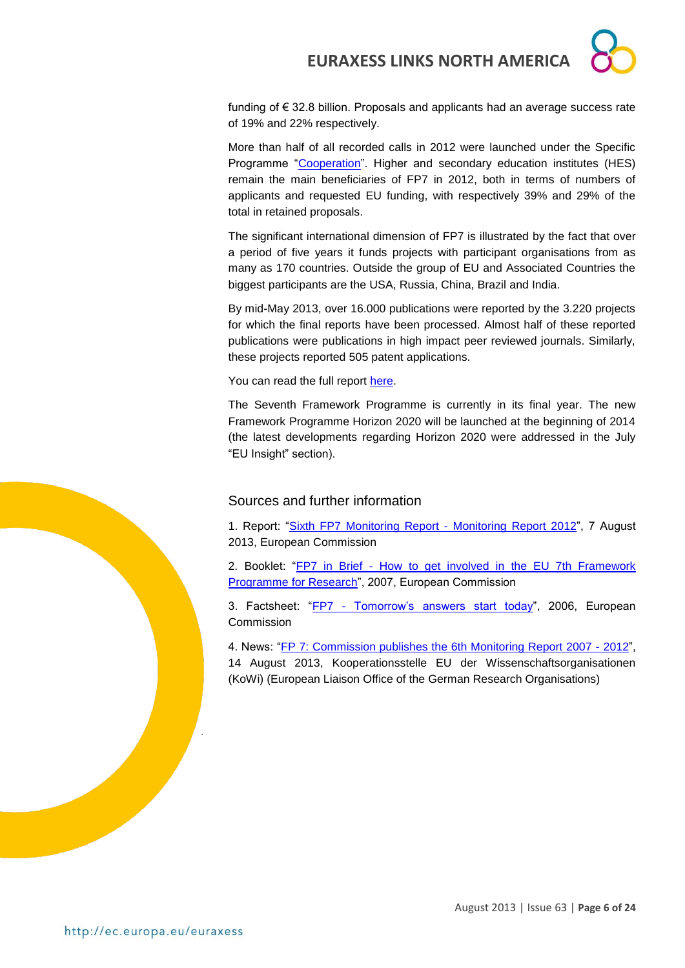

funding of € 32.8 billion. Proposals and applicants had an average success rate of 19% and 22% respectively.

More than half of all recorded calls in 2012 were launched under the Specific Programme ["Cooperation"](http://cordis.europa.eu/fp7/cooperation/home_en.html). Higher and secondary education institutes (HES) remain the main beneficiaries of FP7 in 2012, both in terms of numbers of applicants and requested EU funding, with respectively 39% and 29% of the total in retained proposals.

The significant international dimension of FP7 is illustrated by the fact that over a period of five years it funds projects with participant organisations from as many as 170 countries. Outside the group of EU and Associated Countries the biggest participants are the USA, Russia, China, Brazil and India.

By mid-May 2013, over 16.000 publications were reported by the 3.220 projects for which the final reports have been processed. Almost half of these reported publications were publications in high impact peer reviewed journals. Similarly, these projects reported 505 patent applications.

You can read the full report [here.](http://ec.europa.eu/research/evaluations/pdf/archive/fp7_monitoring_reports/6th_fp7_monitoring_report.pdf#view=fit&pagemode=none)

The Seventh Framework Programme is currently in its final year. The new Framework Programme Horizon 2020 will be launched at the beginning of 2014 (the latest developments regarding Horizon 2020 were addressed in the July "EU Insight" section).

#### Sources and further information

1. Report: ["Sixth FP7 Monitoring Report -](http://ec.europa.eu/research/evaluations/pdf/archive/fp7_monitoring_reports/6th_fp7_monitoring_report.pdf#view=fit&pagemode=none) Monitoring Report 2012", 7 August 2013, European Commission

2. Booklet: "FP7 in Brief - [How to get involved in the EU 7th Framework](http://ec.europa.eu/research/fp7/pdf/fp7-inbrief_en.pdf)  [Programme for Research"](http://ec.europa.eu/research/fp7/pdf/fp7-inbrief_en.pdf), 2007, European Commission

3. Factsheet: "FP7 - [Tomorrow's answers start today"](http://ec.europa.eu/research/fp7/pdf/fp7-factsheets_en.pdf), 2006, European Commission

4. News: ["FP 7: Commission publishes the 6th Monitoring Report 2007 -](http://www.kowi.de/en/desktopdefault.aspx/tabid-36/218_read-2442/) 2012",

14 August 2013, Kooperationsstelle EU der Wissenschaftsorganisationen (KoWi) (European Liaison Office of the German Research Organisations)

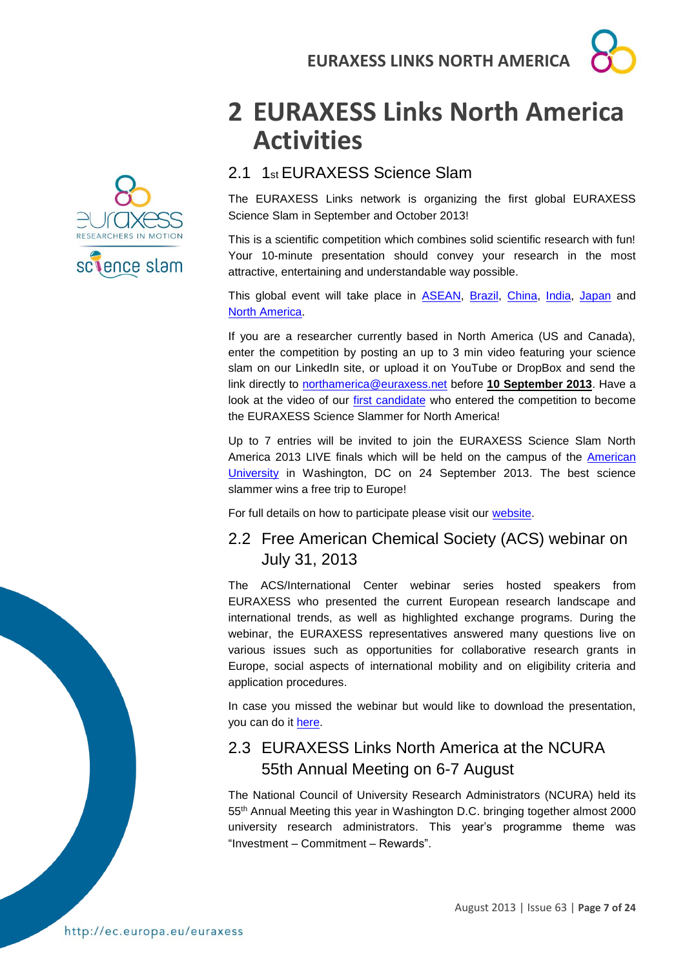

# sclence slam

# <span id="page-6-0"></span>**2 EURAXESS Links North America Activities**

## <span id="page-6-1"></span>2.1 1st EURAXESS Science Slam

The EURAXESS Links network is organizing the first global EURAXESS Science Slam in September and October 2013!

This is a scientific competition which combines solid scientific research with fun! Your 10-minute presentation should convey your research in the most attractive, entertaining and understandable way possible.

This global event will take place in [ASEAN,](http://ec.europa.eu/euraxess/index.cfm/links/events/asean/science_slam) [Brazil,](http://ec.europa.eu/euraxess/index.cfm/links/events/brazil/science_slam) [China,](http://ec.europa.eu/euraxess/index.cfm/links/events/china/science_slam) [India,](http://ec.europa.eu/euraxess/index.cfm/links/events/india/science_slam) [Japan](http://ec.europa.eu/euraxess/index.cfm/links/events/japan/science_slam) and [North America.](http://ec.europa.eu/euraxess/index.cfm/links/events/north_america/science_slam)

If you are a researcher currently based in North America (US and Canada), enter the competition by posting an up to 3 min video featuring your science slam on our LinkedIn site, or upload it on YouTube or DropBox and send the link directly to [northamerica@euraxess.net](mailto:northamerica@euraxess.net) before **10 September 2013**. Have a look at the video of our [first candidate](http://www.youtube.com/watch?v=ZhhbiA0J6lg) who entered the competition to become the EURAXESS Science Slammer for North America!

Up to 7 entries will be invited to join the EURAXESS Science Slam North America 2013 LIVE finals which will be held on the campus of the [American](http://www.american.edu/)  [University](http://www.american.edu/) in Washington, DC on 24 September 2013. The best science slammer wins a free trip to Europe!

For full details on how to participate please visit our [website.](http://ec.europa.eu/euraxess/index.cfm/links/events/north_america/science_slam)

## <span id="page-6-2"></span>2.2 Free American Chemical Society (ACS) webinar on July 31, 2013

The ACS/International Center webinar series hosted speakers from EURAXESS who presented the current European research landscape and international trends, as well as highlighted exchange programs. During the webinar, the EURAXESS representatives answered many questions live on various issues such as opportunities for collaborative research grants in Europe, social aspects of international mobility and on eligibility criteria and application procedures.

In case you missed the webinar but would like to download the presentation, you can do it [here.](http://www.acs.org/content/acs/en/global/acs-international-center-student-chapter-contest-92013/european-exchange-programs-for-international-research.html)

## <span id="page-6-3"></span>2.3 EURAXESS Links North America at the NCURA 55th Annual Meeting on 6-7 August

The National Council of University Research Administrators (NCURA) held its 55th Annual Meeting this year in Washington D.C. bringing together almost 2000 university research administrators. This year's programme theme was "Investment – Commitment – Rewards".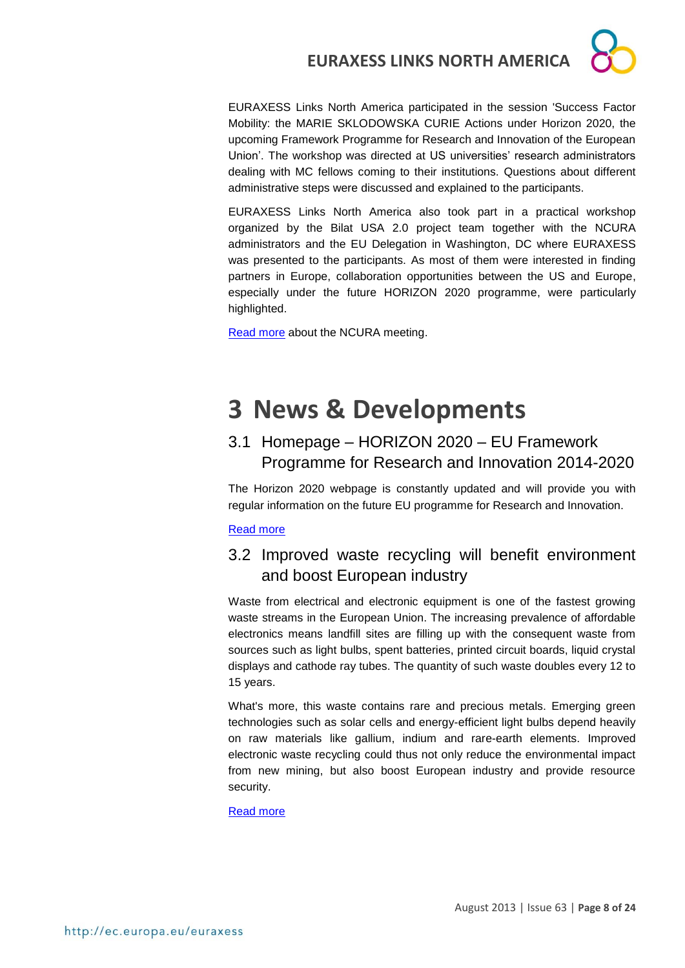

EURAXESS Links North America participated in the session 'Success Factor Mobility: the MARIE SKLODOWSKA CURIE Actions under Horizon 2020, the upcoming Framework Programme for Research and Innovation of the European Union'. The workshop was directed at US universities' research administrators dealing with MC fellows coming to their institutions. Questions about different administrative steps were discussed and explained to the participants.

EURAXESS Links North America also took part in a practical workshop organized by the Bilat USA 2.0 project team together with the NCURA administrators and the EU Delegation in Washington, DC where EURAXESS was presented to the participants. As most of them were interested in finding partners in Europe, collaboration opportunities between the US and Europe, especially under the future HORIZON 2020 programme, were particularly highlighted.

**[Read more](http://higherlogicdownload.s3.amazonaws.com/NCURA/606e6368-bfac-43fb-abe2-7849edacd33d/UploadedImages/AM55fullpreliminary.716.pdf) about the NCURA meeting.** 

# <span id="page-7-0"></span>**3 News & Developments**

## <span id="page-7-1"></span>3.1 Homepage – HORIZON 2020 – EU Framework Programme for Research and Innovation 2014-2020

The Horizon 2020 webpage is constantly updated and will provide you with regular information on the future EU programme for Research and Innovation.

#### [Read more](http://ec.europa.eu/research/horizon2020/index_en.cfm#!)

## <span id="page-7-2"></span>3.2 Improved waste recycling will benefit environment and boost European industry

Waste from electrical and electronic equipment is one of the fastest growing waste streams in the European Union. The increasing prevalence of affordable electronics means landfill sites are filling up with the consequent waste from sources such as light bulbs, spent batteries, printed circuit boards, liquid crystal displays and cathode ray tubes. The quantity of such waste doubles every 12 to 15 years.

What's more, this waste contains rare and precious metals. Emerging green technologies such as solar cells and energy-efficient light bulbs depend heavily on raw materials like gallium, indium and rare-earth elements. Improved electronic waste recycling could thus not only reduce the environmental impact from new mining, but also boost European industry and provide resource security.

[Read more](http://ec.europa.eu/research/infocentre/article_en.cfm?id=/research/headlines/news/article_13_08_16_en.html&item=All&artid=30873&caller=AllHeadlines)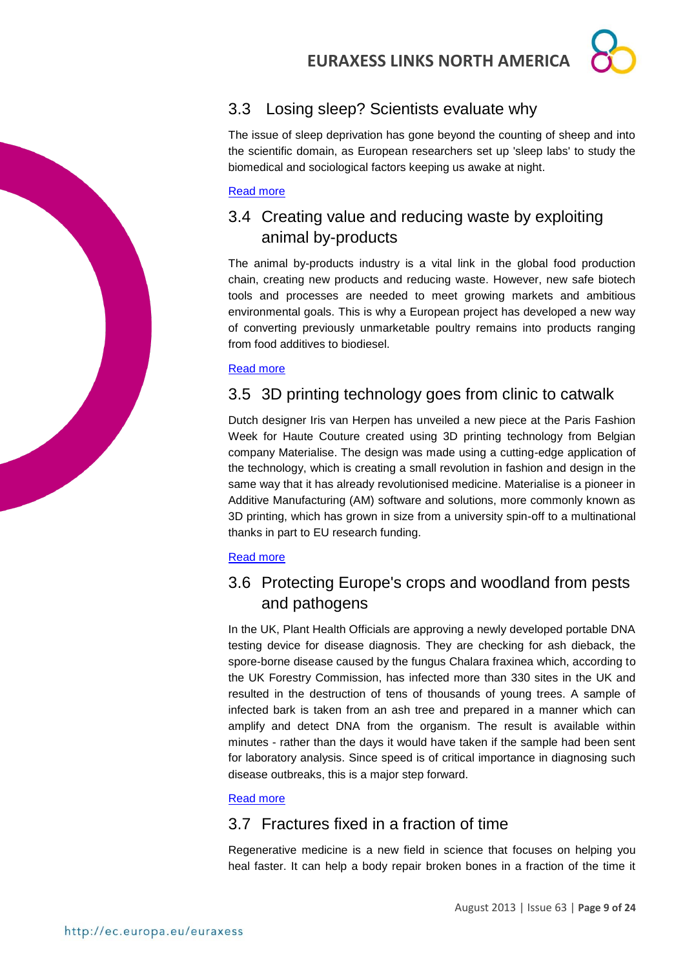## <span id="page-8-0"></span>3.3 Losing sleep? Scientists evaluate why

The issue of sleep deprivation has gone beyond the counting of sheep and into the scientific domain, as European researchers set up 'sleep labs' to study the biomedical and sociological factors keeping us awake at night.

#### [Read more](http://ec.europa.eu/research/infocentre/article_en.cfm?id=/research/headlines/news/article_13_08_09_en.html&item=All&artid=30833&caller=AllHeadlines)

## <span id="page-8-1"></span>3.4 Creating value and reducing waste by exploiting animal by-products

The animal by-products industry is a vital link in the global food production chain, creating new products and reducing waste. However, new safe biotech tools and processes are needed to meet growing markets and ambitious environmental goals. This is why a European project has developed a new way of converting previously unmarketable poultry remains into products ranging from food additives to biodiesel.

#### [Read more](http://ec.europa.eu/research/infocentre/article_en.cfm?id=/research/headlines/news/article_13_08_07_en.html&item=All&artid=30813&caller=AllHeadlines)

## <span id="page-8-2"></span>3.5 3D printing technology goes from clinic to catwalk

Dutch designer Iris van Herpen has unveiled a new piece at the Paris Fashion Week for Haute Couture created using 3D printing technology from Belgian company Materialise. The design was made using a cutting-edge application of the technology, which is creating a small revolution in fashion and design in the same way that it has already revolutionised medicine. Materialise is a pioneer in Additive Manufacturing (AM) software and solutions, more commonly known as 3D printing, which has grown in size from a university spin-off to a multinational thanks in part to EU research funding.

#### [Read more](http://ec.europa.eu/research/infocentre/article_en.cfm?id=/research/headlines/news/article_13_08_05_en.html&item=All&artid=30793&caller=AllHeadlines)

## <span id="page-8-3"></span>3.6 Protecting Europe's crops and woodland from pests and pathogens

In the UK, Plant Health Officials are approving a newly developed portable DNA testing device for disease diagnosis. They are checking for ash dieback, the spore-borne disease caused by the fungus Chalara fraxinea which, according to the UK Forestry Commission, has infected more than 330 sites in the UK and resulted in the destruction of tens of thousands of young trees. A sample of infected bark is taken from an ash tree and prepared in a manner which can amplify and detect DNA from the organism. The result is available within minutes - rather than the days it would have taken if the sample had been sent for laboratory analysis. Since speed is of critical importance in diagnosing such disease outbreaks, this is a major step forward.

#### [Read more](http://ec.europa.eu/research/infocentre/article_en.cfm?id=/research/headlines/news/article_13_07_30_en.html&item=All&artid=30753&caller=AllHeadlines)

## <span id="page-8-4"></span>3.7 Fractures fixed in a fraction of time

Regenerative medicine is a new field in science that focuses on helping you heal faster. It can help a body repair broken bones in a fraction of the time it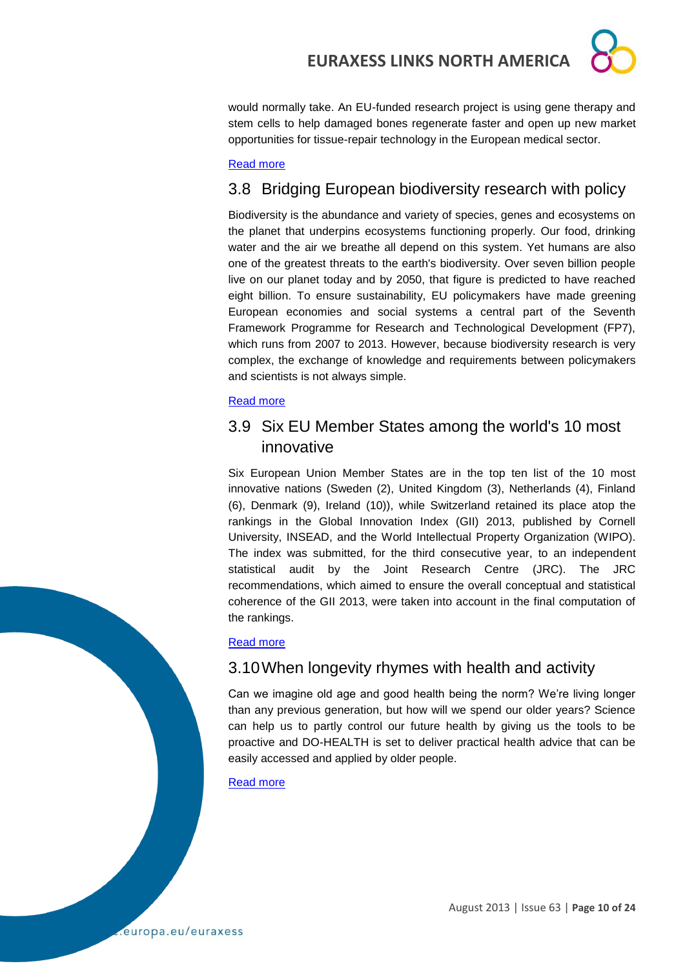would normally take. An EU-funded research project is using gene therapy and stem cells to help damaged bones regenerate faster and open up new market opportunities for tissue-repair technology in the European medical sector.

#### [Read more](http://ec.europa.eu/research/infocentre/article_en.cfm?id=/research/headlines/news/article_13_07_24_en.html&item=All&artid=30713&caller=AllHeadlines)

## <span id="page-9-0"></span>3.8 Bridging European biodiversity research with policy

Biodiversity is the abundance and variety of species, genes and ecosystems on the planet that underpins ecosystems functioning properly. Our food, drinking water and the air we breathe all depend on this system. Yet humans are also one of the greatest threats to the earth's biodiversity. Over seven billion people live on our planet today and by 2050, that figure is predicted to have reached eight billion. To ensure sustainability, EU policymakers have made greening European economies and social systems a central part of the Seventh Framework Programme for Research and Technological Development (FP7), which runs from 2007 to 2013. However, because biodiversity research is very complex, the exchange of knowledge and requirements between policymakers and scientists is not always simple.

#### [Read more](http://ec.europa.eu/research/infocentre/article_en.cfm?id=/research/headlines/news/article_13_07_26_en.html&item=All&artid=30733&caller=AllHeadlines)

## <span id="page-9-1"></span>3.9 Six EU Member States among the world's 10 most innovative

Six European Union Member States are in the top ten list of the 10 most innovative nations (Sweden (2), United Kingdom (3), Netherlands (4), Finland (6), Denmark (9), Ireland (10)), while Switzerland retained its place atop the rankings in the Global Innovation Index (GII) 2013, published by Cornell University, INSEAD, and the World Intellectual Property Organization (WIPO). The index was submitted, for the third consecutive year, to an independent statistical audit by the Joint Research Centre (JRC). The JRC recommendations, which aimed to ensure the overall conceptual and statistical coherence of the GII 2013, were taken into account in the final computation of the rankings.

#### [Read more](https://www.iprhelpdesk.eu/node/1935)

#### <span id="page-9-2"></span>3.10When longevity rhymes with health and activity

Can we imagine old age and good health being the norm? We're living longer than any previous generation, but how will we spend our older years? Science can help us to partly control our future health by giving us the tools to be proactive and DO-HEALTH is set to deliver practical health advice that can be easily accessed and applied by older people.

#### [Read more](http://ec.europa.eu/research/infocentre/article_en.cfm?id=/research/headlines/news/article_13_08_13_en.html&item=All&artid=30853&caller=AllHeadlines)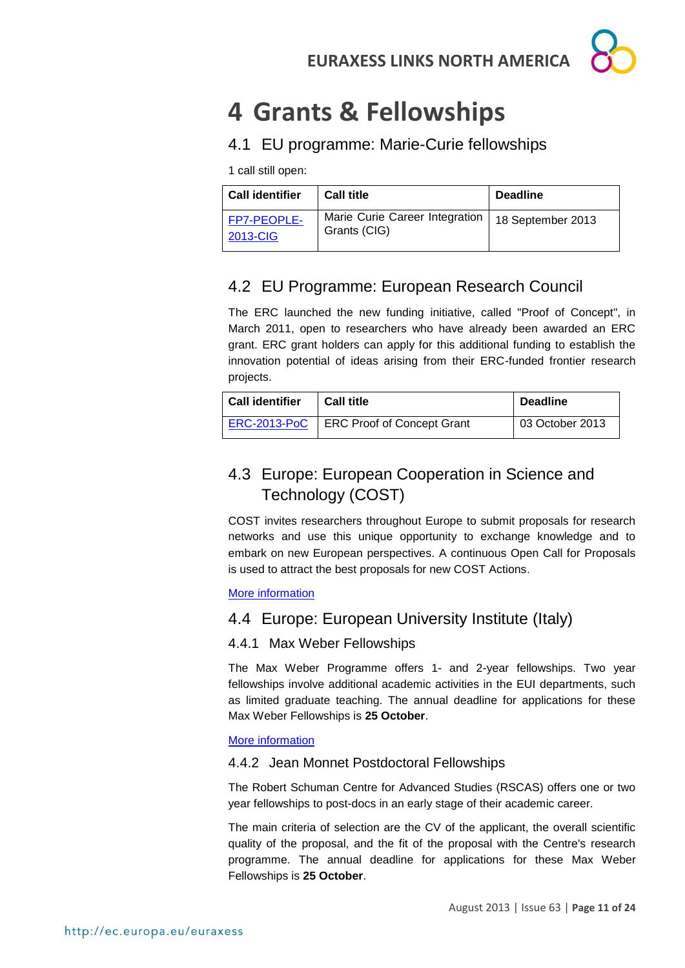

# <span id="page-10-0"></span>**4 Grants & Fellowships**

## <span id="page-10-1"></span>4.1 EU programme: Marie-Curie fellowships

1 call still open:

| <b>Call identifier</b>  | <b>Call title</b>                              | <b>Deadline</b>   |
|-------------------------|------------------------------------------------|-------------------|
| FP7-PEOPLE-<br>2013-CIG | Marie Curie Career Integration<br>Grants (CIG) | 18 September 2013 |

## <span id="page-10-2"></span>4.2 EU Programme: European Research Council

The ERC launched the new funding initiative, called "Proof of Concept", in March 2011, open to researchers who have already been awarded an ERC grant. ERC grant holders can apply for this additional funding to establish the innovation potential of ideas arising from their ERC-funded frontier research projects.

| <b>Call identifier</b> | <b>Call title</b>                 | <b>Deadline</b> |
|------------------------|-----------------------------------|-----------------|
| <b>ERC-2013-PoC</b>    | <b>ERC Proof of Concept Grant</b> | 03 October 2013 |

## <span id="page-10-3"></span>4.3 Europe: European Cooperation in Science and Technology (COST)

COST invites researchers throughout Europe to submit proposals for research networks and use this unique opportunity to exchange knowledge and to embark on new European perspectives. A continuous Open Call for Proposals is used to attract the best proposals for new COST Actions.

#### [More information](http://www.cost.eu/participate/open_call)

## <span id="page-10-4"></span>4.4 Europe: European University Institute (Italy)

#### 4.4.1 Max Weber Fellowships

The Max Weber Programme offers 1- and 2-year fellowships. Two year fellowships involve additional academic activities in the EUI departments, such as limited graduate teaching. The annual deadline for applications for these Max Weber Fellowships is **25 October**.

#### [More information](http://www.eui.eu/ServicesAndAdmin/AcademicService/Fellowships/MaxWeberFellowships/Index.aspx)

#### 4.4.2 Jean Monnet Postdoctoral Fellowships

The Robert Schuman Centre for Advanced Studies (RSCAS) offers one or two year fellowships to post-docs in an early stage of their academic career.

The main criteria of selection are the CV of the applicant, the overall scientific quality of the proposal, and the fit of the proposal with the Centre's research programme. The annual deadline for applications for these Max Weber Fellowships is **25 October**.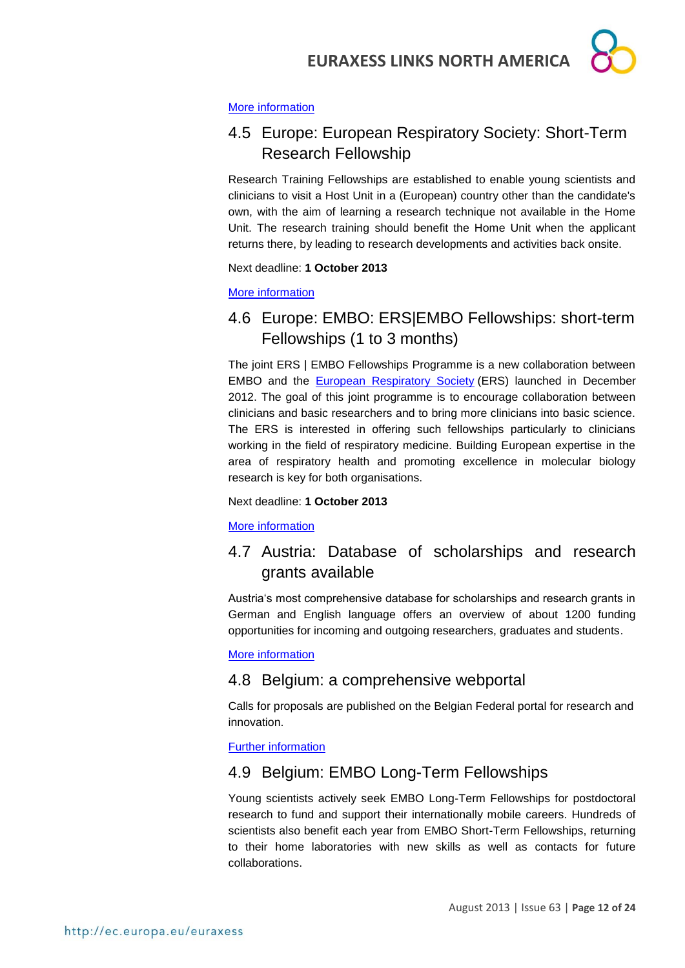

#### [More information](http://www.eui.eu/ServicesAndAdmin/AcademicService/Fellowships/JeanMonnetFellowships/Index.aspx)

## <span id="page-11-0"></span>4.5 Europe: European Respiratory Society: Short-Term Research Fellowship

Research Training Fellowships are established to enable young scientists and clinicians to visit a Host Unit in a (European) country other than the candidate's own, with the aim of learning a research technique not available in the Home Unit. The research training should benefit the Home Unit when the applicant returns there, by leading to research developments and activities back onsite.

Next deadline: **1 October 2013**

[More information](http://www.ersnet.org/ers-funding/fellowships/short-term.html)

## <span id="page-11-1"></span>4.6 Europe: EMBO: ERS|EMBO Fellowships: short-term Fellowships (1 to 3 months)

The joint ERS | EMBO Fellowships Programme is a new collaboration between EMBO and the [European Respiratory Society](http://www.ersnet.org/) (ERS) launched in December 2012. The goal of this joint programme is to encourage collaboration between clinicians and basic researchers and to bring more clinicians into basic science. The ERS is interested in offering such fellowships particularly to clinicians working in the field of respiratory medicine. Building European expertise in the area of respiratory health and promoting excellence in molecular biology research is key for both organisations.

Next deadline: **1 October 2013**

[More information](http://www.embo.org/funding-awards/fellowships/ers-embo-fellowships)

## <span id="page-11-2"></span>4.7 Austria: Database of scholarships and research grants available

Austria's most comprehensive database for scholarships and research grants in German and English language offers an overview of about 1200 funding opportunities for incoming and outgoing researchers, graduates and students.

[More information](http://www.grants.at/)

## <span id="page-11-3"></span>4.8 Belgium: a comprehensive webportal

Calls for proposals are published on the Belgian Federal portal for research and innovation.

[Further information](http://www.research.be/ListURL/list.asp?KeyId=623&up=619)

## <span id="page-11-4"></span>4.9 Belgium: EMBO Long-Term Fellowships

Young scientists actively seek EMBO Long-Term Fellowships for postdoctoral research to fund and support their internationally mobile careers. Hundreds of scientists also benefit each year from EMBO Short-Term Fellowships, returning to their home laboratories with new skills as well as contacts for future collaborations.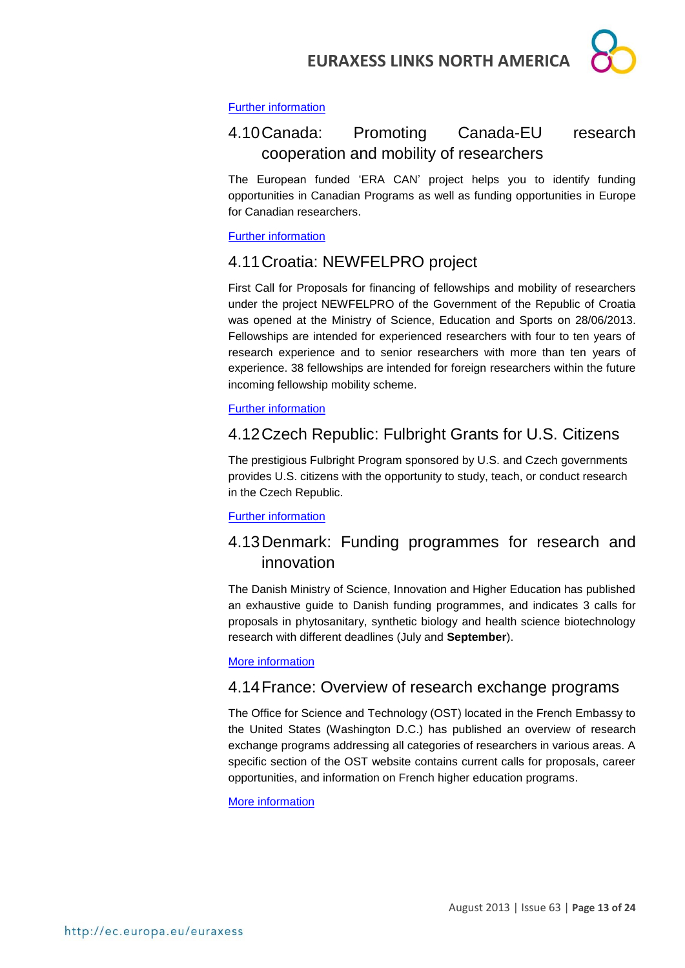

#### [Further information](http://www.embo.org/funding-awards/fellowships)

## <span id="page-12-0"></span>4.10Canada: Promoting Canada-EU research cooperation and mobility of researchers

The European funded 'ERA CAN' project helps you to identify funding opportunities in Canadian Programs as well as funding opportunities in Europe for Canadian researchers.

[Further information](http://www.era-can.ca/en/Opportunities_In_Canadian_Programs_22/Opportunities_In_Canadian_Programs_10)

## <span id="page-12-1"></span>4.11Croatia: NEWFELPRO project

First Call for Proposals for financing of fellowships and mobility of researchers under the project NEWFELPRO of the Government of the Republic of Croatia was opened at the Ministry of Science, Education and Sports on 28/06/2013. Fellowships are intended for experienced researchers with four to ten years of research experience and to senior researchers with more than ten years of experience. 38 fellowships are intended for foreign researchers within the future incoming fellowship mobility scheme.

#### [Further information](http://www.newfelpro.hr/default.aspx?id=69)

## <span id="page-12-2"></span>4.12Czech Republic: Fulbright Grants for U.S. Citizens

The prestigious Fulbright Program sponsored by U.S. and Czech governments provides U.S. citizens with the opportunity to study, teach, or conduct research in the Czech Republic.

#### [Further information](http://www.fulbright.cz/fulbright-grants-us-citizens#basic)

## <span id="page-12-3"></span>4.13Denmark: Funding programmes for research and innovation

The Danish Ministry of Science, Innovation and Higher Education has published an exhaustive guide to Danish funding programmes, and indicates 3 calls for proposals in phytosanitary, synthetic biology and health science biotechnology research with different deadlines (July and **September**).

#### [More information](http://fivu.dk/en/research-and-innovation/funding-programmes-for-research-and-innovation/guide-to-funding)

## <span id="page-12-4"></span>4.14France: Overview of research exchange programs

The Office for Science and Technology (OST) located in the French Embassy to the United States (Washington D.C.) has published an overview of research exchange programs addressing all categories of researchers in various areas. A specific section of the OST website contains current calls for proposals, career opportunities, and information on French higher education programs.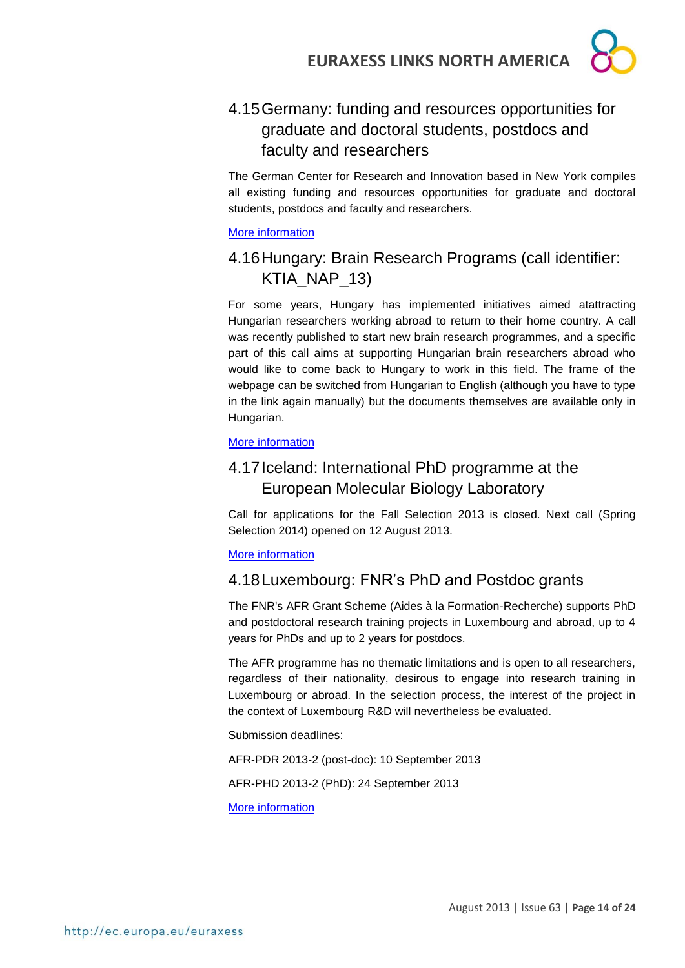

## <span id="page-13-0"></span>4.15Germany: funding and resources opportunities for graduate and doctoral students, postdocs and faculty and researchers

The German Center for Research and Innovation based in New York compiles all existing funding and resources opportunities for graduate and doctoral students, postdocs and faculty and researchers.

[More information](http://www.germaninnovation.org/resources/faculty-and-researchers)

## <span id="page-13-1"></span>4.16Hungary: Brain Research Programs (call identifier: KTIA\_NAP\_13)

For some years, Hungary has implemented initiatives aimed atattracting Hungarian researchers working abroad to return to their home country. A call was recently published to start new brain research programmes, and a specific part of this call aims at supporting Hungarian brain researchers abroad who would like to come back to Hungary to work in this field. The frame of the webpage can be switched from Hungarian to English (although you have to type in the link again manually) but the documents themselves are available only in Hungarian.

#### [More information](http://www.nfu.hu/doc/4182)

## <span id="page-13-2"></span>4.17Iceland: International PhD programme at the European Molecular Biology Laboratory

Call for applications for the Fall Selection 2013 is closed. Next call (Spring Selection 2014) opened on 12 August 2013.

#### [More information](http://www.embl.de/training/eipp/application/index.html)

## <span id="page-13-3"></span>4.18Luxembourg: FNR's PhD and Postdoc grants

The FNR's AFR Grant Scheme (Aides à la Formation-Recherche) supports PhD and postdoctoral research training projects in Luxembourg and abroad, up to 4 years for PhDs and up to 2 years for postdocs.

The AFR programme has no thematic limitations and is open to all researchers, regardless of their nationality, desirous to engage into research training in Luxembourg or abroad. In the selection process, the interest of the project in the context of Luxembourg R&D will nevertheless be evaluated.

Submission deadlines:

AFR-PDR 2013-2 (post-doc): 10 September 2013

AFR-PHD 2013-2 (PhD): 24 September 2013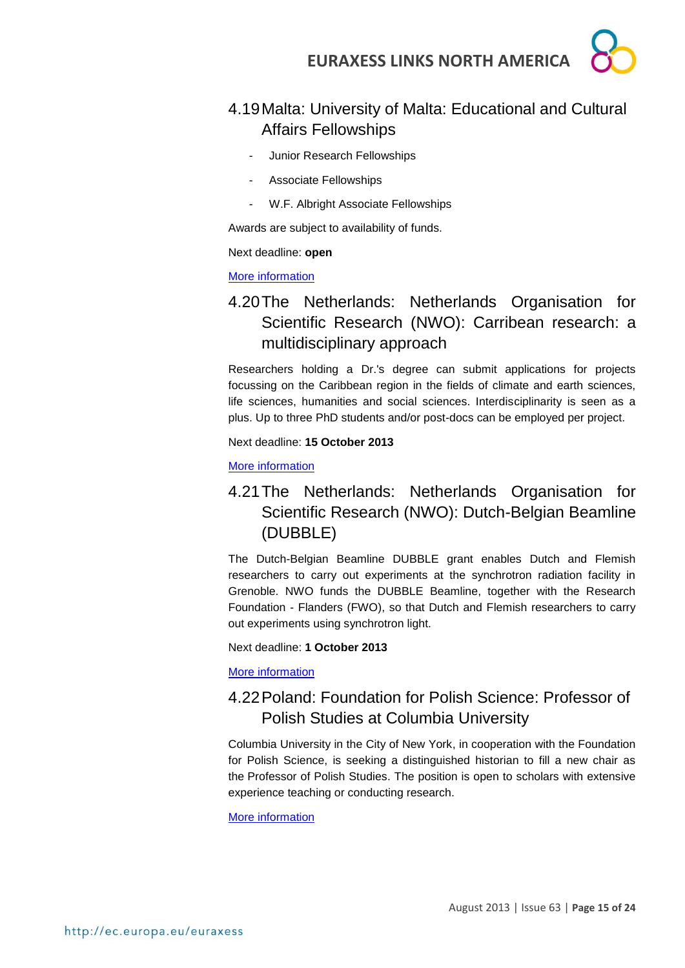## <span id="page-14-0"></span>4.19Malta: University of Malta: Educational and Cultural Affairs Fellowships

- Junior Research Fellowships
- Associate Fellowships
- W.F. Albright Associate Fellowships

Awards are subject to availability of funds.

Next deadline: **open**

#### [More information](http://www.um.edu.mt/noticeboard/fellowships.html)

## <span id="page-14-1"></span>4.20The Netherlands: Netherlands Organisation for Scientific Research (NWO): Carribean research: a multidisciplinary approach

Researchers holding a Dr.'s degree can submit applications for projects focussing on the Caribbean region in the fields of climate and earth sciences, life sciences, humanities and social sciences. Interdisciplinarity is seen as a plus. Up to three PhD students and/or post-docs can be employed per project.

Next deadline: **15 October 2013**

[More information](http://www.nwo.nl/en/funding/our-funding-instruments/alw/caribbean-research-a-multi-disciplinary-approach/caribbean-research-a-multi-disciplinary-approach.html)

## <span id="page-14-2"></span>4.21The Netherlands: Netherlands Organisation for Scientific Research (NWO): Dutch-Belgian Beamline (DUBBLE)

The Dutch-Belgian Beamline DUBBLE grant enables Dutch and Flemish researchers to carry out experiments at the synchrotron radiation facility in Grenoble. NWO funds the DUBBLE Beamline, together with the Research Foundation - Flanders (FWO), so that Dutch and Flemish researchers to carry out experiments using synchrotron light.

Next deadline: **1 October 2013**

[More information](http://www.nwo.nl/en/funding/our-funding-instruments/nwo/dutch-belgian-beamline/dutch-belgian-beamline.html)

## <span id="page-14-3"></span>4.22Poland: Foundation for Polish Science: Professor of Polish Studies at Columbia University

Columbia University in the City of New York, in cooperation with the Foundation for Polish Science, is seeking a distinguished historian to fill a new chair as the Professor of Polish Studies. The position is open to scholars with extensive experience teaching or conducting research.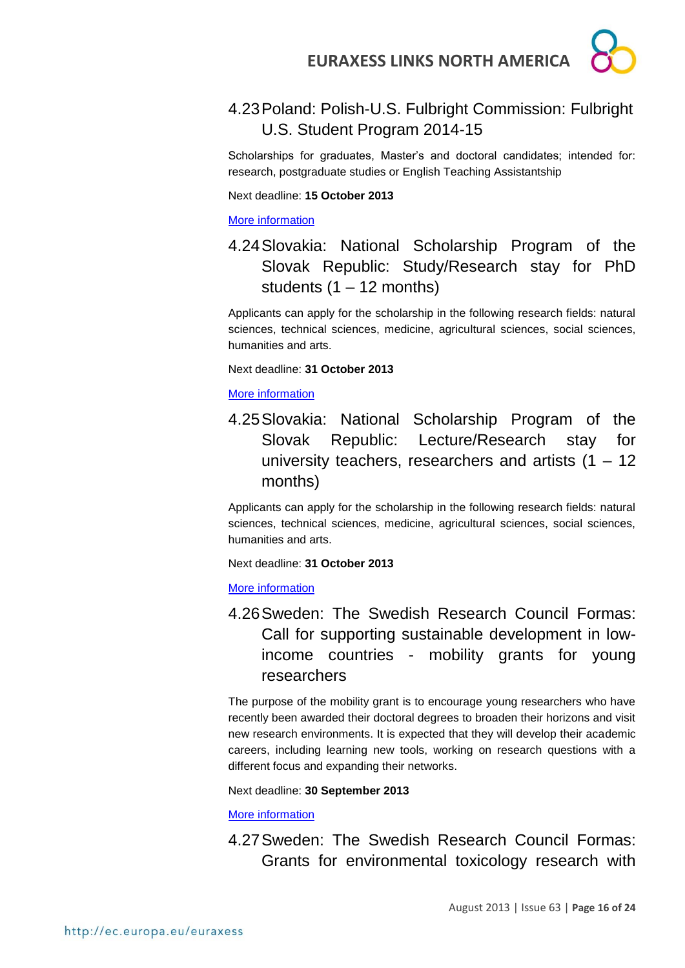

## <span id="page-15-0"></span>4.23Poland: Polish-U.S. Fulbright Commission: Fulbright U.S. Student Program 2014-15

Scholarships for graduates, Master's and doctoral candidates; intended for: research, postgraduate studies or English Teaching Assistantship

Next deadline: **15 October 2013**

[More information](http://us.fulbrightonline.org/fulbright-us-student-program)

<span id="page-15-1"></span>4.24Slovakia: National Scholarship Program of the Slovak Republic: Study/Research stay for PhD students  $(1 - 12$  months)

Applicants can apply for the scholarship in the following research fields: natural sciences, technical sciences, medicine, agricultural sciences, social sciences, humanities and arts.

Next deadline: **31 October 2013**

[More information](http://grants.saia.sk/Pages/ProgramDetail.aspx?Program=298) 

<span id="page-15-2"></span>4.25Slovakia: National Scholarship Program of the Slovak Republic: Lecture/Research stay for university teachers, researchers and artists (1 – 12 months)

Applicants can apply for the scholarship in the following research fields: natural sciences, technical sciences, medicine, agricultural sciences, social sciences, humanities and arts.

Next deadline: **31 October 2013**

[More information](http://grants.saia.sk/Pages/ProgramDetail.aspx?Program=299)

<span id="page-15-3"></span>4.26Sweden: The Swedish Research Council Formas: Call for supporting sustainable development in lowincome countries - mobility grants for young researchers

The purpose of the mobility grant is to encourage young researchers who have recently been awarded their doctoral degrees to broaden their horizons and visit new research environments. It is expected that they will develop their academic careers, including learning new tools, working on research questions with a different focus and expanding their networks.

Next deadline: **30 September 2013**

[More information](http://www.formas.se/en/Financing/Calls-For-Proposals/Aktuella/Call-for-supporting-sustainable-development-in-low-income-countries---mobility-grants-for-young-researchers/)

<span id="page-15-4"></span>4.27Sweden: The Swedish Research Council Formas: Grants for environmental toxicology research with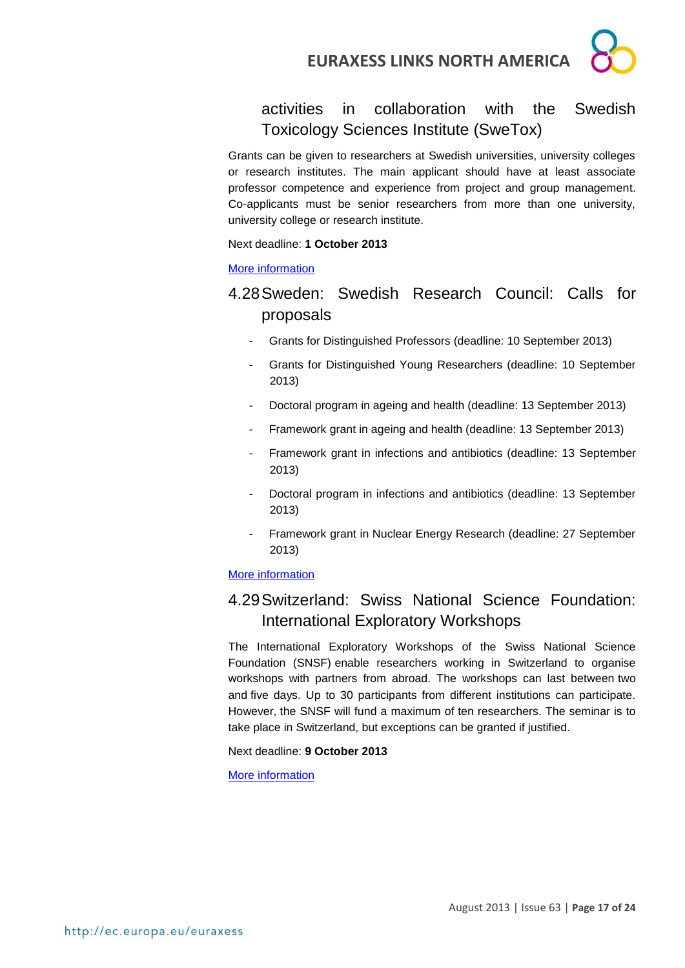

## activities in collaboration with the Swedish Toxicology Sciences Institute (SweTox)

Grants can be given to researchers at Swedish universities, university colleges or research institutes. The main applicant should have at least associate professor competence and experience from project and group management. Co-applicants must be senior researchers from more than one university, university college or research institute.

#### Next deadline: **1 October 2013**

#### [More information](http://www.formas.se/en/Financing/Calls-For-Proposals/Aktuella/Grants-for-environmental-toxicology-research-with-activities-in-collaboration-with-the-Swedish-Toxicology-Sciences-Institute-SweTox/)

## <span id="page-16-0"></span>4.28Sweden: Swedish Research Council: Calls for proposals

- Grants for Distinguished Professors (deadline: 10 September 2013)
- Grants for Distinguished Young Researchers (deadline: 10 September 2013)
- Doctoral program in ageing and health (deadline: 13 September 2013)
- Framework grant in ageing and health (deadline: 13 September 2013)
- Framework grant in infections and antibiotics (deadline: 13 September 2013)
- Doctoral program in infections and antibiotics (deadline: 13 September 2013)
- Framework grant in Nuclear Energy Research (deadline: 27 September 2013)

#### [More information](http://www.vr.se/inenglish/researchfunding/applyforgrants/callforproposals.4.ead945b11f699b5085800013700.html)

## <span id="page-16-1"></span>4.29Switzerland: Swiss National Science Foundation: International Exploratory Workshops

The International Exploratory Workshops of the Swiss National Science Foundation (SNSF) enable researchers working in Switzerland to organise workshops with partners from abroad. The workshops can last between two and five days. Up to 30 participants from different institutions can participate. However, the SNSF will fund a maximum of ten researchers. The seminar is to take place in Switzerland, but exceptions can be granted if justified.

#### Next deadline: **9 October 2013**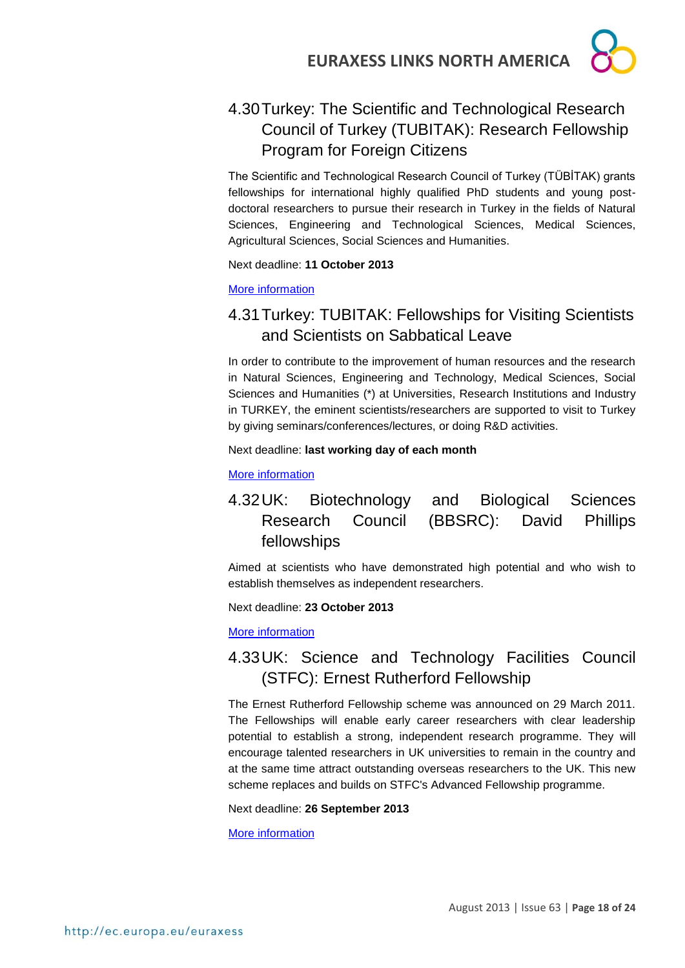

## <span id="page-17-0"></span>4.30Turkey: The Scientific and Technological Research Council of Turkey (TUBITAK): Research Fellowship Program for Foreign Citizens

The Scientific and Technological Research Council of Turkey (TÜBİTAK) grants fellowships for international highly qualified PhD students and young postdoctoral researchers to pursue their research in Turkey in the fields of Natural Sciences, Engineering and Technological Sciences, Medical Sciences, Agricultural Sciences, Social Sciences and Humanities.

Next deadline: **11 October 2013**

[More information](http://www.tubitak.gov.tr/en/content-scope-of-the-support)

## <span id="page-17-1"></span>4.31Turkey: TUBITAK: Fellowships for Visiting Scientists and Scientists on Sabbatical Leave

In order to contribute to the improvement of human resources and the research in Natural Sciences, Engineering and Technology, Medical Sciences, Social Sciences and Humanities (\*) at Universities, Research Institutions and Industry in TURKEY, the eminent scientists/researchers are supported to visit to Turkey by giving seminars/conferences/lectures, or doing R&D activities.

#### Next deadline: **last working day of each month**

[More information](http://www.tubitak.gov.tr/en/scholarship/postdoctoral/international-programmes/content-2221-fellowships-for-visiting-scientists-and-scientists-on-sabbatical-leave)

## <span id="page-17-2"></span>4.32UK: Biotechnology and Biological Sciences Research Council (BBSRC): David Phillips fellowships

Aimed at scientists who have demonstrated high potential and who wish to establish themselves as independent researchers.

Next deadline: **23 October 2013**

[More information](http://www.bbsrc.ac.uk/funding/fellowships/david-phillips.aspx)

## <span id="page-17-3"></span>4.33UK: Science and Technology Facilities Council (STFC): Ernest Rutherford Fellowship

The Ernest Rutherford Fellowship scheme was announced on 29 March 2011. The Fellowships will enable early career researchers with clear leadership potential to establish a strong, independent research programme. They will encourage talented researchers in UK universities to remain in the country and at the same time attract outstanding overseas researchers to the UK. This new scheme replaces and builds on STFC's Advanced Fellowship programme.

#### Next deadline: **26 September 2013**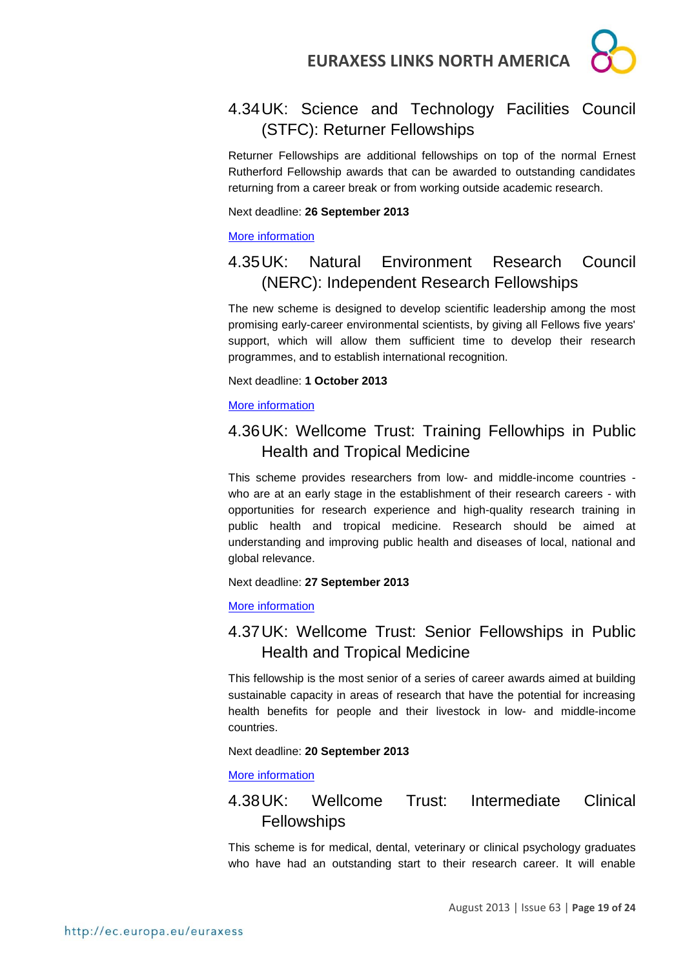

## <span id="page-18-0"></span>4.34UK: Science and Technology Facilities Council (STFC): Returner Fellowships

Returner Fellowships are additional fellowships on top of the normal Ernest Rutherford Fellowship awards that can be awarded to outstanding candidates returning from a career break or from working outside academic research.

Next deadline: **26 September 2013**

[More information](http://www.stfc.ac.uk/1828.aspx)

## <span id="page-18-1"></span>4.35UK: Natural Environment Research Council (NERC): Independent Research Fellowships

The new scheme is designed to develop scientific leadership among the most promising early-career environmental scientists, by giving all Fellows five years' support, which will allow them sufficient time to develop their research programmes, and to establish international recognition.

Next deadline: **1 October 2013**

#### [More information](http://www.nerc.ac.uk/funding/available/fellowships/irf.asp)

## <span id="page-18-2"></span>4.36UK: Wellcome Trust: Training Fellowhips in Public Health and Tropical Medicine

This scheme provides researchers from low- and middle-income countries who are at an early stage in the establishment of their research careers - with opportunities for research experience and high-quality research training in public health and tropical medicine. Research should be aimed at understanding and improving public health and diseases of local, national and global relevance.

Next deadline: **27 September 2013**

[More information](http://www.wellcome.ac.uk/Funding/Biomedical-science/Funding-schemes/Fellowships/Public-health-and-tropical-medicine/WTD025882.htm)

## <span id="page-18-3"></span>4.37UK: Wellcome Trust: Senior Fellowships in Public Health and Tropical Medicine

This fellowship is the most senior of a series of career awards aimed at building sustainable capacity in areas of research that have the potential for increasing health benefits for people and their livestock in low- and middle-income countries.

#### Next deadline: **20 September 2013**

[More information](http://www.wellcome.ac.uk/Funding/Biomedical-science/Funding-schemes/Fellowships/Public-health-and-tropical-medicine/WTD025884.htm)

## <span id="page-18-4"></span>4.38UK: Wellcome Trust: Intermediate Clinical Fellowships

This scheme is for medical, dental, veterinary or clinical psychology graduates who have had an outstanding start to their research career. It will enable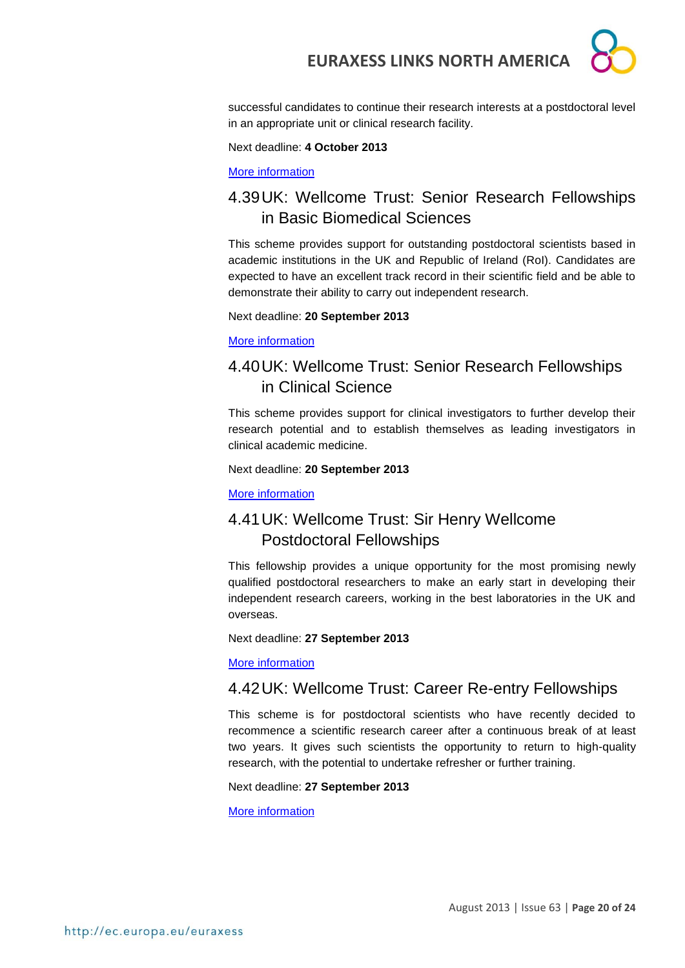successful candidates to continue their research interests at a postdoctoral level in an appropriate unit or clinical research facility.

Next deadline: **4 October 2013**

[More information](http://www.wellcome.ac.uk/Funding/Biomedical-science/Funding-schemes/Fellowships/Clinical-fellowships/WTD004402.htm)

## <span id="page-19-0"></span>4.39UK: Wellcome Trust: Senior Research Fellowships in Basic Biomedical Sciences

This scheme provides support for outstanding postdoctoral scientists based in academic institutions in the UK and Republic of Ireland (RoI). Candidates are expected to have an excellent track record in their scientific field and be able to demonstrate their ability to carry out independent research.

Next deadline: **20 September 2013**

[More information](http://www.wellcome.ac.uk/Funding/Biomedical-science/Funding-schemes/Fellowships/Basic-biomedical-fellowships/WTD004442.htm)

## <span id="page-19-1"></span>4.40UK: Wellcome Trust: Senior Research Fellowships in Clinical Science

This scheme provides support for clinical investigators to further develop their research potential and to establish themselves as leading investigators in clinical academic medicine.

Next deadline: **20 September 2013**

[More information](http://www.wellcome.ac.uk/Funding/Biomedical-science/Funding-schemes/Fellowships/Clinical-fellowships/WTD004445.htm)

## <span id="page-19-2"></span>4.41UK: Wellcome Trust: Sir Henry Wellcome Postdoctoral Fellowships

This fellowship provides a unique opportunity for the most promising newly qualified postdoctoral researchers to make an early start in developing their independent research careers, working in the best laboratories in the UK and overseas.

Next deadline: **27 September 2013**

[More information](http://www.wellcome.ac.uk/Funding/Biomedical-science/Funding-schemes/Fellowships/Basic-biomedical-fellowships/WTX033549.htm)

## <span id="page-19-3"></span>4.42UK: Wellcome Trust: Career Re-entry Fellowships

This scheme is for postdoctoral scientists who have recently decided to recommence a scientific research career after a continuous break of at least two years. It gives such scientists the opportunity to return to high-quality research, with the potential to undertake refresher or further training.

Next deadline: **27 September 2013**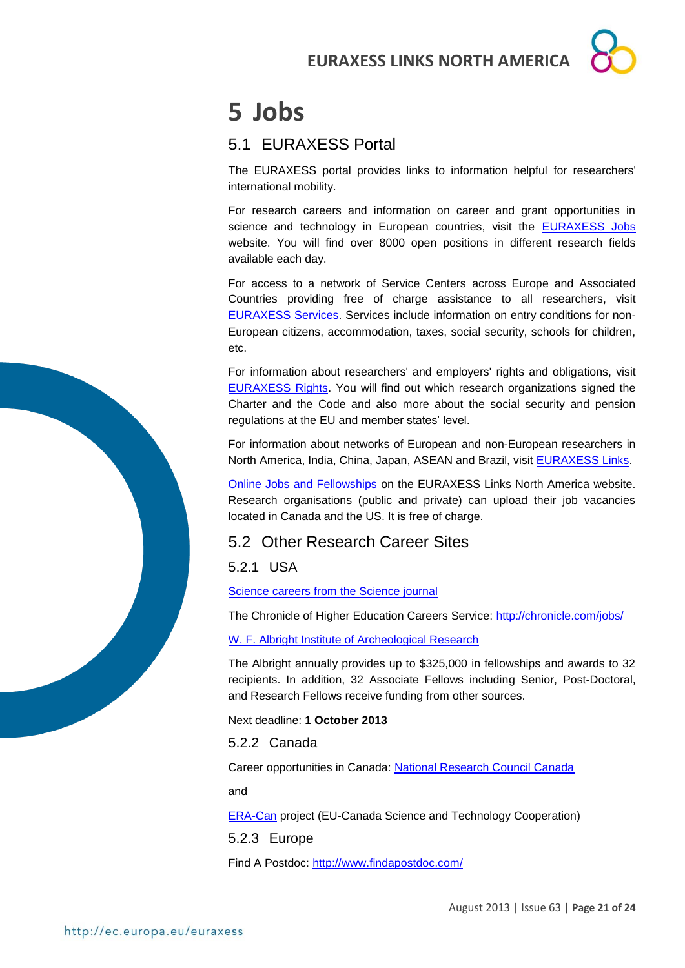# <span id="page-20-0"></span>**5 Jobs**

## <span id="page-20-1"></span>5.1 EURAXESS Portal

The EURAXESS portal provides links to information helpful for researchers' international mobility.

For research careers and information on career and grant opportunities in science and technology in European countries, visit the **EURAXESS** Jobs website. You will find over 8000 open positions in different research fields available each day.

For access to a network of Service Centers across Europe and Associated Countries providing free of charge assistance to all researchers, visit [EURAXESS Services.](http://ec.europa.eu/euraxess/index.cfm/services/index) Services include information on entry conditions for non-European citizens, accommodation, taxes, social security, schools for children, etc.

For information about researchers' and employers' rights and obligations, visit [EURAXESS Rights.](http://ec.europa.eu/euraxess/index.cfm/rights/index) You will find out which research organizations signed the Charter and the Code and also more about the social security and pension regulations at the EU and member states' level.

For information about networks of European and non-European researchers in North America, India, China, Japan, ASEAN and Brazil, visit [EURAXESS Links.](http://ec.europa.eu/euraxess/index.cfm/links/index/)

[Online Jobs and Fellowships](http://ec.europa.eu/euraxess/index.cfm/links/eurRes/north_america) on the EURAXESS Links North America website. Research organisations (public and private) can upload their job vacancies located in Canada and the US. It is free of charge.

## <span id="page-20-2"></span>5.2 Other Research Career Sites

<span id="page-20-3"></span>5.2.1 USA

[Science careers from the Science journal](http://sciencecareers.sciencemag.org/)

The Chronicle of Higher Education Careers Service:<http://chronicle.com/jobs/>

[W. F. Albright Institute of Archeological Research](http://www.aiar.org/fellowships.html#list)

The Albright annually provides up to \$325,000 in fellowships and awards to 32 recipients. In addition, 32 Associate Fellows including Senior, Post-Doctoral, and Research Fellows receive funding from other sources.

Next deadline: **1 October 2013**

<span id="page-20-4"></span>5.2.2 Canada

Career opportunities in Canada: [National Research Council Canada](http://www.nrc-cnrc.gc.ca/eng/careers/index.html)

and

[ERA-Can](http://www.era-can.ca/en/Opportunities_In_Canadian_Programs_22/Opportunities_In_Canadian_Programs_10) project (EU-Canada Science and Technology Cooperation)

<span id="page-20-5"></span>5.2.3 Europe

Find A Postdoc:<http://www.findapostdoc.com/>

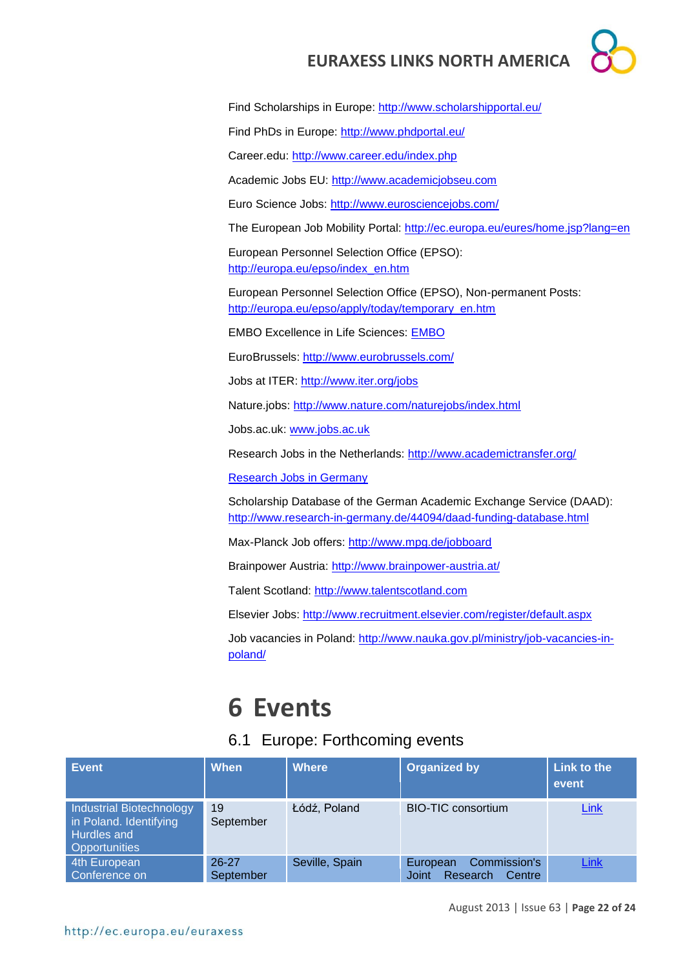Find Scholarships in Europe:<http://www.scholarshipportal.eu/>

Find PhDs in Europe:<http://www.phdportal.eu/>

Career.edu:<http://www.career.edu/index.php>

Academic Jobs EU: [http://www.academicjobseu.com](http://www.academicjobseu.com/)

Euro Science Jobs:<http://www.eurosciencejobs.com/>

The European Job Mobility Portal:<http://ec.europa.eu/eures/home.jsp?lang=en>

European Personnel Selection Office (EPSO): [http://europa.eu/epso/index\\_en.htm](http://europa.eu/epso/index_en.htm)

European Personnel Selection Office (EPSO), Non-permanent Posts: [http://europa.eu/epso/apply/today/temporary\\_en.htm](http://europa.eu/epso/apply/today/temporary_en.htm)

EMBO Excellence in Life Sciences: [EMBO](http://www.embo.org/)

EuroBrussels:<http://www.eurobrussels.com/>

Jobs at ITER:<http://www.iter.org/jobs>

Nature.jobs:<http://www.nature.com/naturejobs/index.html>

Jobs.ac.uk: [www.jobs.ac.uk](http://www.jobs.ac.uk/)

Research Jobs in the Netherlands:<http://www.academictransfer.org/>

[Research Jobs in Germany](http://www.germaninnovation.org/resources/faculty-and-researchers)

Scholarship Database of the German Academic Exchange Service (DAAD): <http://www.research-in-germany.de/44094/daad-funding-database.html>

Max-Planck Job offers:<http://www.mpg.de/jobboard>

Brainpower Austria:<http://www.brainpower-austria.at/>

Talent Scotland: [http://www.talentscotland.com](http://www.talentscotland.com/)

Elsevier Jobs:<http://www.recruitment.elsevier.com/register/default.aspx>

Job vacancies in Poland: [http://www.nauka.gov.pl/ministry/job-vacancies-in](http://www.nauka.gov.pl/ministry/job-vacancies-in-poland/)[poland/](http://www.nauka.gov.pl/ministry/job-vacancies-in-poland/)

# <span id="page-21-0"></span>**6 Events**

#### <span id="page-21-1"></span>6.1 Europe: Forthcoming events

| <b>Event</b>                                                                                     | When                   | <b>Where</b>   | <b>Organized by</b>                                     | Link to the<br>event |
|--------------------------------------------------------------------------------------------------|------------------------|----------------|---------------------------------------------------------|----------------------|
| Industrial Biotechnology<br>in Poland. Identifying<br><b>Hurdles and</b><br><b>Opportunities</b> | 19<br>September        | Łódź, Poland   | <b>BIO-TIC consortium</b>                               | Link                 |
| 4th European<br>Conference on                                                                    | $26 - 27$<br>September | Seville, Spain | Commission's<br>European<br>Research<br>Centre<br>Joint | Link                 |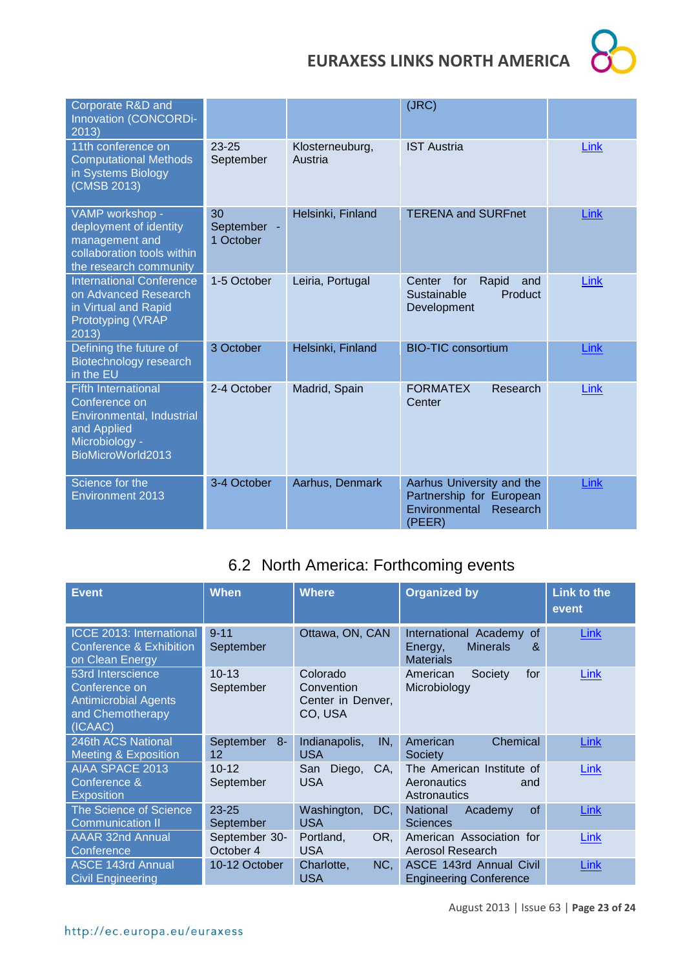

| Corporate R&D and<br>Innovation (CONCORDi-<br>2013)                                                                            |                                |                            | (JRC)                                                                                        |             |
|--------------------------------------------------------------------------------------------------------------------------------|--------------------------------|----------------------------|----------------------------------------------------------------------------------------------|-------------|
| 11th conference on<br><b>Computational Methods</b><br>in Systems Biology<br>(CMSB 2013)                                        | $23 - 25$<br>September         | Klosterneuburg,<br>Austria | <b>IST Austria</b>                                                                           | <b>Link</b> |
| VAMP workshop -<br>deployment of identity<br>management and<br>collaboration tools within<br>the research community            | 30<br>September -<br>1 October | Helsinki, Finland          | <b>TERENA and SURFnet</b>                                                                    | Link        |
| <b>International Conference</b><br>on Advanced Research<br>in Virtual and Rapid<br>Prototyping (VRAP<br>2013)                  | 1-5 October                    | Leiria, Portugal           | Center<br>for<br>Rapid<br>and<br>Sustainable<br>Product<br>Development                       | Link        |
| Defining the future of<br>Biotechnology research<br>in the EU                                                                  | 3 October                      | Helsinki, Finland          | <b>BIO-TIC consortium</b>                                                                    | Link        |
| <b>Fifth International</b><br>Conference on<br>Environmental, Industrial<br>and Applied<br>Microbiology -<br>BioMicroWorld2013 | 2-4 October                    | Madrid, Spain              | <b>FORMATEX</b><br>Research<br>Center                                                        | Link        |
| Science for the<br><b>Environment 2013</b>                                                                                     | 3-4 October                    | Aarhus, Denmark            | Aarhus University and the<br>Partnership for European<br>Environmental<br>Research<br>(PEER) | Link        |

## <span id="page-22-0"></span>6.2 North America: Forthcoming events

| <b>Event</b>                                                                                     | <b>When</b>                | <b>Where</b>                                           | <b>Organized by</b>                                                                | <b>Link to the</b><br>event |
|--------------------------------------------------------------------------------------------------|----------------------------|--------------------------------------------------------|------------------------------------------------------------------------------------|-----------------------------|
| <b>ICCE 2013: International</b><br><b>Conference &amp; Exhibition</b><br>on Clean Energy         | $9 - 11$<br>September      | Ottawa, ON, CAN                                        | International Academy<br>οf<br><b>Minerals</b><br>&<br>Energy,<br><b>Materials</b> | Link                        |
| 53rd Interscience<br>Conference on<br><b>Antimicrobial Agents</b><br>and Chemotherapy<br>(ICAAC) | $10 - 13$<br>September     | Colorado<br>Convention<br>Center in Denver,<br>CO, USA | American<br>Society<br>for<br>Microbiology                                         | Link                        |
| 246th ACS National<br><b>Meeting &amp; Exposition</b>                                            | September<br>-8<br>12      | IN.<br>Indianapolis,<br><b>USA</b>                     | Chemical<br>American<br>Society                                                    | <b>Link</b>                 |
| <b>AIAA SPACE 2013</b><br>Conference &<br><b>Exposition</b>                                      | $10 - 12$<br>September     | Diego,<br>CA,<br>San<br><b>USA</b>                     | The American Institute of<br>Aeronautics<br>and<br>Astronautics                    | Link                        |
| <b>The Science of Science</b><br><b>Communication II</b>                                         | $23 - 25$<br>September     | Washington,<br>DC,<br><b>USA</b>                       | <b>National</b><br>of<br>Academy<br><b>Sciences</b>                                | Link                        |
| <b>AAAR 32nd Annual</b><br>Conference                                                            | September 30-<br>October 4 | Portland,<br>OR.<br><b>USA</b>                         | American Association for<br>Aerosol Research                                       | Link                        |
| <b>ASCE 143rd Annual</b><br><b>Civil Engineering</b>                                             | 10-12 October              | Charlotte,<br>NC,<br><b>USA</b>                        | ASCE 143rd Annual Civil<br><b>Engineering Conference</b>                           | Link                        |